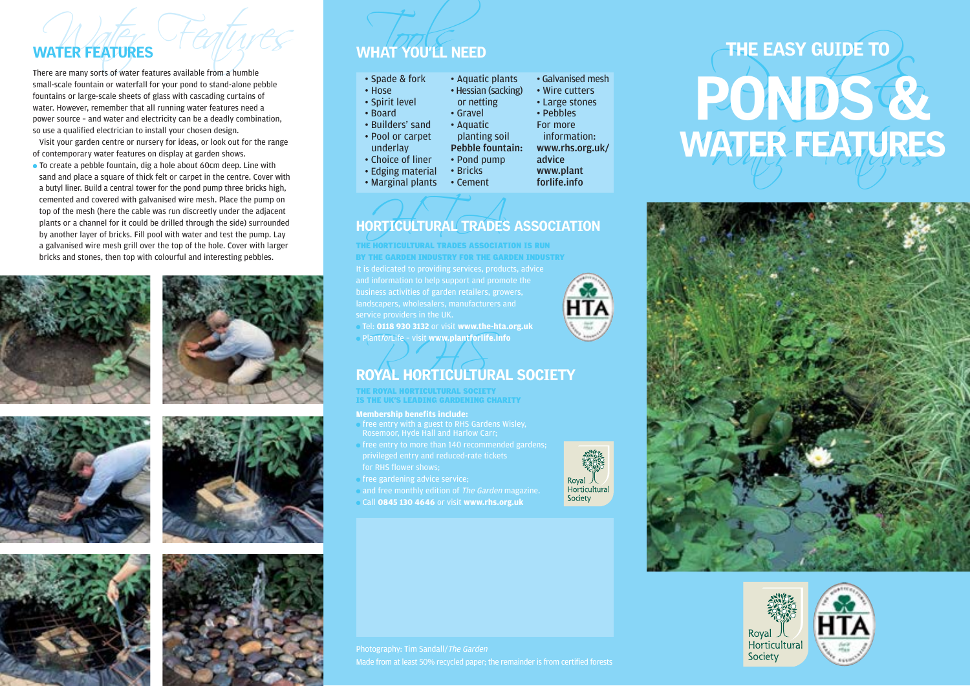small-scale fountain or waterfall for your pond to stand-alone pebble fountains or large-scale sheets of glass with cascading curtains of water. However, remember that all running water features need a power source – and water and electricity can be a deadly combination, so use a qualified electrician to install your chosen design.

Visit your garden centre or nursery for ideas, or look out for the range of contemporary water features on display at garden shows.

● To create a pebble fountain, dig a hole about 60cm deep. Line with sand and place a square of thick felt or carpet in the centre. Cover with a butyl liner. Build a central tower for the pond pump three bricks high, cemented and covered with galvanised wire mesh. Place the pump on top of the mesh (here the cable was run discreetly under the adjacent plants or a channel for it could be drilled through the side) surrounded by another layer of bricks. Fill pool with water and test the pump. Lay a galvanised wire mesh grill over the top of the hole. Cover with larger bricks and stones, then top with colourful and interesting pebbles.













# WATER FEATURES  $\begin{array}{|c|c|c|}\n\hline\n\text{WHAT YOUTL NEED}\n\hline\n\text{There are many sorts of water features available from a number}\n\end{array}$

• Edging material • Marginal plants

| • Spade & fork    | • Aquatic plan       |
|-------------------|----------------------|
| • Hose            | • Hessian (sack      |
| • Spirit level    | or netting           |
| • Board           | • Gravel             |
| · Builders' sand  | • Aquatic            |
| • Pool or carpet  | planting soil        |
| underlay          | <b>Pebble founta</b> |
| • Choice of liner | • Pond pump          |

king) Pebble fountain: www.rhs.org.uk/ • Wire cutters • Large stones • Pebbles For more information: advice www.plant

forlife.info

• Galvanised mesh

 $intc$ 

### ORTICULTURAL TRADES HORTICULTURAL TRADES ASSOCIATION

• Bricks • Cement

landscapers, wholesalers, manufacturers and THE HORTICULTURAL TRADES ASSOCIATION IS RUN BY THE GARDEN INDUSTRY FOR THE GARDEN INDUSTRY

● Tel: **0118 930 3132** or visit **www.the-hta.org.uk** ● PlantforLife – visit **www.plantforlife.info**

## Plant*for*Life - visit www.plantforlife.info<br>ROYAL HORTICULTURAL SOCIETY

THE ROYAL HORTICULTURAL SOCIETY IS THE UK'S LEADING GARDENING CHARITY

### **Membership benefits include:**

- free entry with a guest to RHS Gardens Wisley, Rosemoor, Hyde Hall and Harlow Carr;
- free entry to more than  $140$  recommended gardens:
- 
- $\bullet$  free gardening advice service:
- and free monthly edition of The Garden magazine. ● Call **0845 130 4646** or visit **www.rhs.org.uk**



# WHAT YOU'LL NEED<br>
There are many sorts of water features available from a humble<br>
small-scale fountains or vaterfall for your pond to stand-alone pebble<br>
Fountains or large-scale sheets of glass with cascading curtains of<br> Water Features WATER FEATURES THE EASY GUIDE TO





Made from at least 50% recycled paper; the remainder is from certified forests